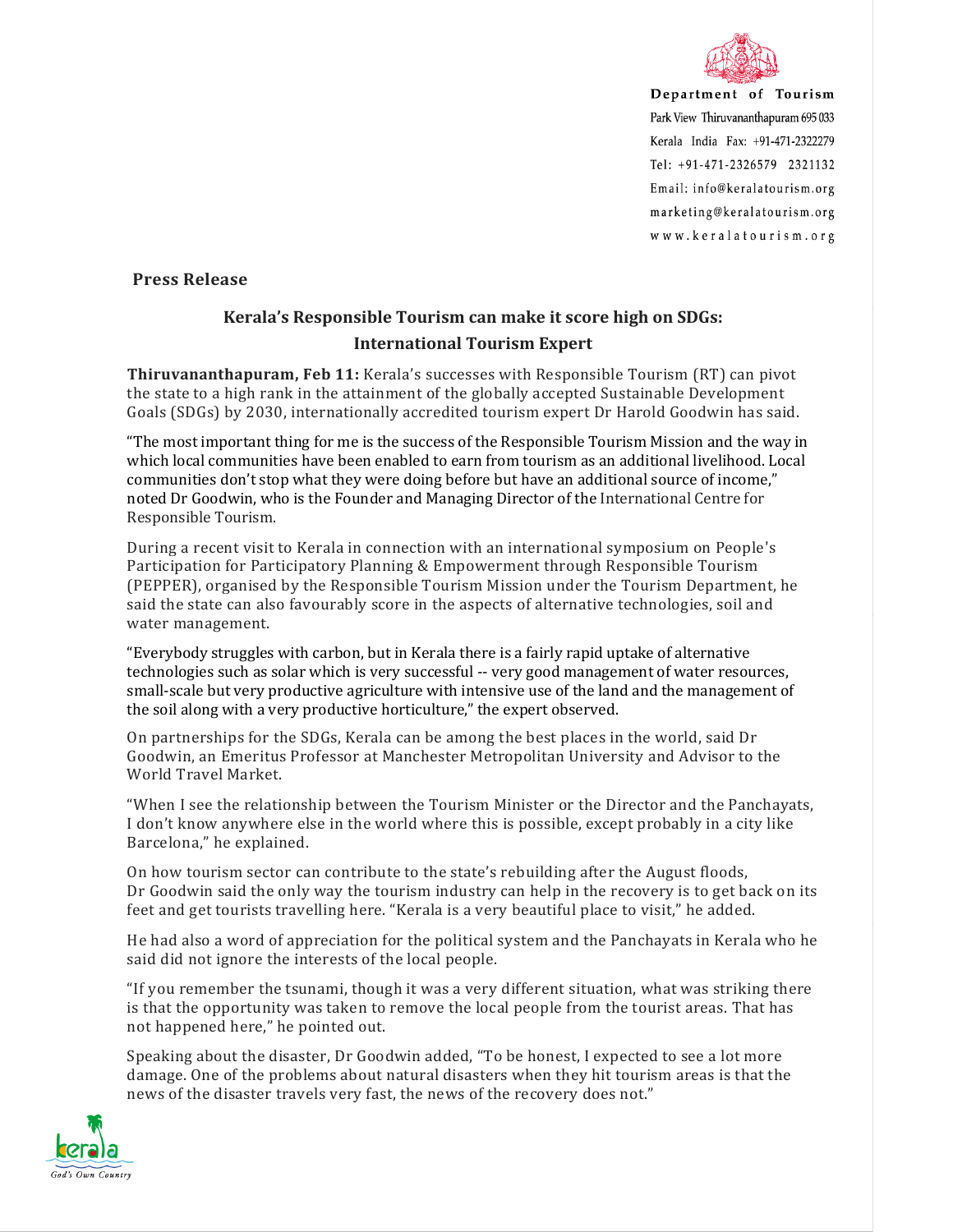

Department of Tourism Park View Thiruvananthapuram 695 033 Kerala India Fax: +91-471-2322279 Tel: +91-471-2326579 2321132 Email: info@keralatourism.org marketing@keralatourism.org www.keralatourism.org

**Press Release**

## **Kerala's Responsible Tourism can make it score high on SDGs: International Tourism Expert**

**Thiruvananthapuram, Feb 11:** Kerala's successes with Responsible Tourism (RT) can pivot the state to a high rank in the attainment of the globally accepted Sustainable Development Goals (SDGs) by 2030, internationally accredited tourism expert Dr Harold Goodwin has said.

"The most important thing for me is the success of the Responsible Tourism Mission and the way in which local communities have been enabled to earn from tourism as an additional livelihood. Local communities don't stop what they were doing before but have an additional source of income," noted Dr Goodwin, who is the Founder and Managing Director of the International Centre for Responsible Tourism.

During a recent visit to Kerala in connection with an international symposium on People's Participation for Participatory Planning & Empowerment through Responsible Tourism (PEPPER), organised by the Responsible Tourism Mission under the Tourism Department, he said the state can also favourably score in the aspects of alternative technologies, soil and water management.

"Everybody struggles with carbon, but in Kerala there is a fairly rapid uptake of alternative technologies such as solar which is very successful -- very good management of water resources, small-scale but very productive agriculture with intensive use of the land and the management of the soil along with a very productive horticulture," the expert observed.

On partnerships for the SDGs, Kerala can be among the best places in the world, said Dr Goodwin, an Emeritus Professor at Manchester Metropolitan University and Advisor to the World Travel Market.

"When I see the relationship between the Tourism Minister or the Director and the Panchayats, I don't know anywhere else in the world where this is possible, except probably in a city like Barcelona," he explained.

On how tourism sector can contribute to the state's rebuilding after the August floods, Dr Goodwin said the only way the tourism industry can help in the recovery is to get back on its feet and get tourists travelling here. "Kerala is a very beautiful place to visit," he added.

He had also a word of appreciation for the political system and the Panchayats in Kerala who he said did not ignore the interests of the local people.

"If you remember the tsunami, though it was a very different situation, what was striking there is that the opportunity was taken to remove the local people from the tourist areas. That has not happened here," he pointed out.

Speaking about the disaster, Dr Goodwin added, "To be honest, I expected to see a lot more damage. One of the problems about natural disasters when they hit tourism areas is that the news of the disaster travels very fast, the news of the recovery does not."